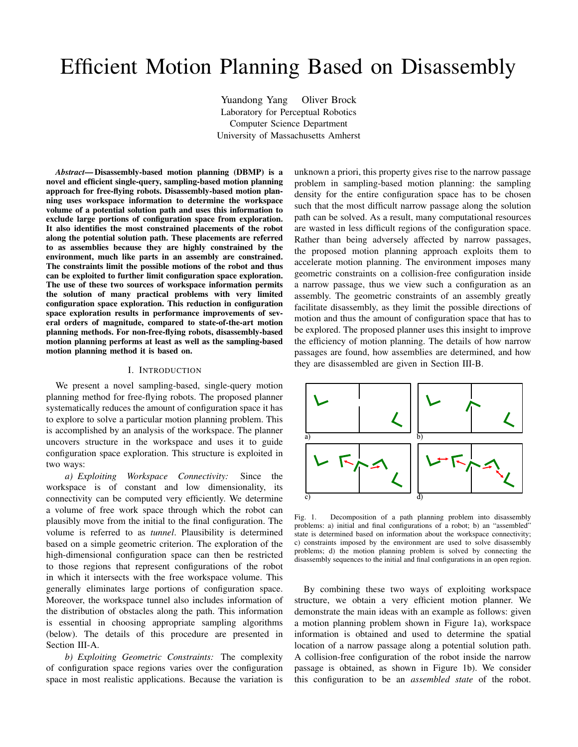# Efficient Motion Planning Based on Disassembly

Yuandong Yang Oliver Brock Laboratory for Perceptual Robotics Computer Science Department University of Massachusetts Amherst

*Abstract***—Disassembly-based motion planning (DBMP) is a novel and efficient single-query, sampling-based motion planning approach for free-flying robots. Disassembly-based motion planning uses workspace information to determine the workspace volume of a potential solution path and uses this information to exclude large portions of configuration space from exploration. It also identifies the most constrained placements of the robot along the potential solution path. These placements are referred to as assemblies because they are highly constrained by the environment, much like parts in an assembly are constrained. The constraints limit the possible motions of the robot and thus can be exploited to further limit configuration space exploration. The use of these two sources of workspace information permits the solution of many practical problems with very limited configuration space exploration. This reduction in configuration space exploration results in performance improvements of several orders of magnitude, compared to state-of-the-art motion planning methods. For non-free-flying robots, disassembly-based motion planning performs at least as well as the sampling-based motion planning method it is based on.**

#### I. INTRODUCTION

We present a novel sampling-based, single-query motion planning method for free-flying robots. The proposed planner systematically reduces the amount of configuration space it has to explore to solve a particular motion planning problem. This is accomplished by an analysis of the workspace. The planner uncovers structure in the workspace and uses it to guide configuration space exploration. This structure is exploited in two ways:

*a) Exploiting Workspace Connectivity:* Since the workspace is of constant and low dimensionality, its connectivity can be computed very efficiently. We determine a volume of free work space through which the robot can plausibly move from the initial to the final configuration. The volume is referred to as *tunnel*. Plausibility is determined based on a simple geometric criterion. The exploration of the high-dimensional configuration space can then be restricted to those regions that represent configurations of the robot in which it intersects with the free workspace volume. This generally eliminates large portions of configuration space. Moreover, the workspace tunnel also includes information of the distribution of obstacles along the path. This information is essential in choosing appropriate sampling algorithms (below). The details of this procedure are presented in Section III-A.

*b) Exploiting Geometric Constraints:* The complexity of configuration space regions varies over the configuration space in most realistic applications. Because the variation is

unknown a priori, this property gives rise to the narrow passage problem in sampling-based motion planning: the sampling density for the entire configuration space has to be chosen such that the most difficult narrow passage along the solution path can be solved. As a result, many computational resources are wasted in less difficult regions of the configuration space. Rather than being adversely affected by narrow passages, the proposed motion planning approach exploits them to accelerate motion planning. The environment imposes many geometric constraints on a collision-free configuration inside a narrow passage, thus we view such a configuration as an assembly. The geometric constraints of an assembly greatly facilitate disassembly, as they limit the possible directions of motion and thus the amount of configuration space that has to be explored. The proposed planner uses this insight to improve the efficiency of motion planning. The details of how narrow passages are found, how assemblies are determined, and how they are disassembled are given in Section III-B.



Fig. 1. Decomposition of a path planning problem into disassembly problems: a) initial and final configurations of a robot; b) an "assembled" state is determined based on information about the workspace connectivity; c) constraints imposed by the environment are used to solve disassembly problems; d) the motion planning problem is solved by connecting the disassembly sequences to the initial and final configurations in an open region.

By combining these two ways of exploiting workspace structure, we obtain a very efficient motion planner. We demonstrate the main ideas with an example as follows: given a motion planning problem shown in Figure 1a), workspace information is obtained and used to determine the spatial location of a narrow passage along a potential solution path. A collision-free configuration of the robot inside the narrow passage is obtained, as shown in Figure 1b). We consider this configuration to be an *assembled state* of the robot.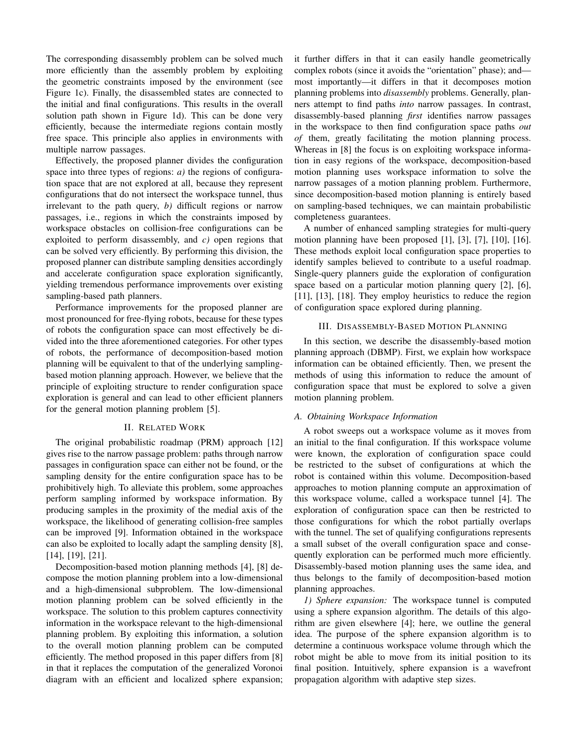The corresponding disassembly problem can be solved much more efficiently than the assembly problem by exploiting the geometric constraints imposed by the environment (see Figure 1c). Finally, the disassembled states are connected to the initial and final configurations. This results in the overall solution path shown in Figure 1d). This can be done very efficiently, because the intermediate regions contain mostly free space. This principle also applies in environments with multiple narrow passages.

Effectively, the proposed planner divides the configuration space into three types of regions: *a)* the regions of configuration space that are not explored at all, because they represent configurations that do not intersect the workspace tunnel, thus irrelevant to the path query, *b)* difficult regions or narrow passages, i.e., regions in which the constraints imposed by workspace obstacles on collision-free configurations can be exploited to perform disassembly, and *c)* open regions that can be solved very efficiently. By performing this division, the proposed planner can distribute sampling densities accordingly and accelerate configuration space exploration significantly, yielding tremendous performance improvements over existing sampling-based path planners.

Performance improvements for the proposed planner are most pronounced for free-flying robots, because for these types of robots the configuration space can most effectively be divided into the three aforementioned categories. For other types of robots, the performance of decomposition-based motion planning will be equivalent to that of the underlying samplingbased motion planning approach. However, we believe that the principle of exploiting structure to render configuration space exploration is general and can lead to other efficient planners for the general motion planning problem [5].

#### II. RELATED WORK

The original probabilistic roadmap (PRM) approach [12] gives rise to the narrow passage problem: paths through narrow passages in configuration space can either not be found, or the sampling density for the entire configuration space has to be prohibitively high. To alleviate this problem, some approaches perform sampling informed by workspace information. By producing samples in the proximity of the medial axis of the workspace, the likelihood of generating collision-free samples can be improved [9]. Information obtained in the workspace can also be exploited to locally adapt the sampling density [8], [14], [19], [21].

Decomposition-based motion planning methods [4], [8] decompose the motion planning problem into a low-dimensional and a high-dimensional subproblem. The low-dimensional motion planning problem can be solved efficiently in the workspace. The solution to this problem captures connectivity information in the workspace relevant to the high-dimensional planning problem. By exploiting this information, a solution to the overall motion planning problem can be computed efficiently. The method proposed in this paper differs from [8] in that it replaces the computation of the generalized Voronoi diagram with an efficient and localized sphere expansion; it further differs in that it can easily handle geometrically complex robots (since it avoids the "orientation" phase); and most importantly—it differs in that it decomposes motion planning problems into *disassembly* problems. Generally, planners attempt to find paths *into* narrow passages. In contrast, disassembly-based planning *first* identifies narrow passages in the workspace to then find configuration space paths *out of* them, greatly facilitating the motion planning process. Whereas in [8] the focus is on exploiting workspace information in easy regions of the workspace, decomposition-based motion planning uses workspace information to solve the narrow passages of a motion planning problem. Furthermore, since decomposition-based motion planning is entirely based on sampling-based techniques, we can maintain probabilistic completeness guarantees.

A number of enhanced sampling strategies for multi-query motion planning have been proposed [1], [3], [7], [10], [16]. These methods exploit local configuration space properties to identify samples believed to contribute to a useful roadmap. Single-query planners guide the exploration of configuration space based on a particular motion planning query [2], [6], [11], [13], [18]. They employ heuristics to reduce the region of configuration space explored during planning.

#### III. DISASSEMBLY-BASED MOTION PLANNING

In this section, we describe the disassembly-based motion planning approach (DBMP). First, we explain how workspace information can be obtained efficiently. Then, we present the methods of using this information to reduce the amount of configuration space that must be explored to solve a given motion planning problem.

## *A. Obtaining Workspace Information*

A robot sweeps out a workspace volume as it moves from an initial to the final configuration. If this workspace volume were known, the exploration of configuration space could be restricted to the subset of configurations at which the robot is contained within this volume. Decomposition-based approaches to motion planning compute an approximation of this workspace volume, called a workspace tunnel [4]. The exploration of configuration space can then be restricted to those configurations for which the robot partially overlaps with the tunnel. The set of qualifying configurations represents a small subset of the overall configuration space and consequently exploration can be performed much more efficiently. Disassembly-based motion planning uses the same idea, and thus belongs to the family of decomposition-based motion planning approaches.

*1) Sphere expansion:* The workspace tunnel is computed using a sphere expansion algorithm. The details of this algorithm are given elsewhere [4]; here, we outline the general idea. The purpose of the sphere expansion algorithm is to determine a continuous workspace volume through which the robot might be able to move from its initial position to its final position. Intuitively, sphere expansion is a wavefront propagation algorithm with adaptive step sizes.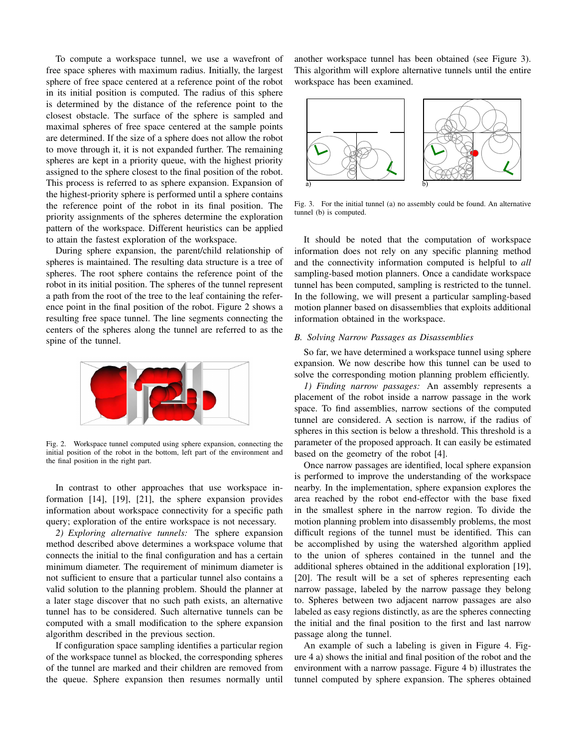To compute a workspace tunnel, we use a wavefront of free space spheres with maximum radius. Initially, the largest sphere of free space centered at a reference point of the robot in its initial position is computed. The radius of this sphere is determined by the distance of the reference point to the closest obstacle. The surface of the sphere is sampled and maximal spheres of free space centered at the sample points are determined. If the size of a sphere does not allow the robot to move through it, it is not expanded further. The remaining spheres are kept in a priority queue, with the highest priority assigned to the sphere closest to the final position of the robot. This process is referred to as sphere expansion. Expansion of the highest-priority sphere is performed until a sphere contains the reference point of the robot in its final position. The priority assignments of the spheres determine the exploration pattern of the workspace. Different heuristics can be applied to attain the fastest exploration of the workspace.

During sphere expansion, the parent/child relationship of spheres is maintained. The resulting data structure is a tree of spheres. The root sphere contains the reference point of the robot in its initial position. The spheres of the tunnel represent a path from the root of the tree to the leaf containing the reference point in the final position of the robot. Figure 2 shows a resulting free space tunnel. The line segments connecting the centers of the spheres along the tunnel are referred to as the spine of the tunnel.



Fig. 2. Workspace tunnel computed using sphere expansion, connecting the initial position of the robot in the bottom, left part of the environment and the final position in the right part.

In contrast to other approaches that use workspace information [14], [19], [21], the sphere expansion provides information about workspace connectivity for a specific path query; exploration of the entire workspace is not necessary.

*2) Exploring alternative tunnels:* The sphere expansion method described above determines a workspace volume that connects the initial to the final configuration and has a certain minimum diameter. The requirement of minimum diameter is not sufficient to ensure that a particular tunnel also contains a valid solution to the planning problem. Should the planner at a later stage discover that no such path exists, an alternative tunnel has to be considered. Such alternative tunnels can be computed with a small modification to the sphere expansion algorithm described in the previous section.

If configuration space sampling identifies a particular region of the workspace tunnel as blocked, the corresponding spheres of the tunnel are marked and their children are removed from the queue. Sphere expansion then resumes normally until

another workspace tunnel has been obtained (see Figure 3). This algorithm will explore alternative tunnels until the entire workspace has been examined.



Fig. 3. For the initial tunnel (a) no assembly could be found. An alternative tunnel (b) is computed.

It should be noted that the computation of workspace information does not rely on any specific planning method and the connectivity information computed is helpful to *all* sampling-based motion planners. Once a candidate workspace tunnel has been computed, sampling is restricted to the tunnel. In the following, we will present a particular sampling-based motion planner based on disassemblies that exploits additional information obtained in the workspace.

## *B. Solving Narrow Passages as Disassemblies*

So far, we have determined a workspace tunnel using sphere expansion. We now describe how this tunnel can be used to solve the corresponding motion planning problem efficiently.

*1) Finding narrow passages:* An assembly represents a placement of the robot inside a narrow passage in the work space. To find assemblies, narrow sections of the computed tunnel are considered. A section is narrow, if the radius of spheres in this section is below a threshold. This threshold is a parameter of the proposed approach. It can easily be estimated based on the geometry of the robot [4].

Once narrow passages are identified, local sphere expansion is performed to improve the understanding of the workspace nearby. In the implementation, sphere expansion explores the area reached by the robot end-effector with the base fixed in the smallest sphere in the narrow region. To divide the motion planning problem into disassembly problems, the most difficult regions of the tunnel must be identified. This can be accomplished by using the watershed algorithm applied to the union of spheres contained in the tunnel and the additional spheres obtained in the additional exploration [19], [20]. The result will be a set of spheres representing each narrow passage, labeled by the narrow passage they belong to. Spheres between two adjacent narrow passages are also labeled as easy regions distinctly, as are the spheres connecting the initial and the final position to the first and last narrow passage along the tunnel.

An example of such a labeling is given in Figure 4. Figure 4 a) shows the initial and final position of the robot and the environment with a narrow passage. Figure 4 b) illustrates the tunnel computed by sphere expansion. The spheres obtained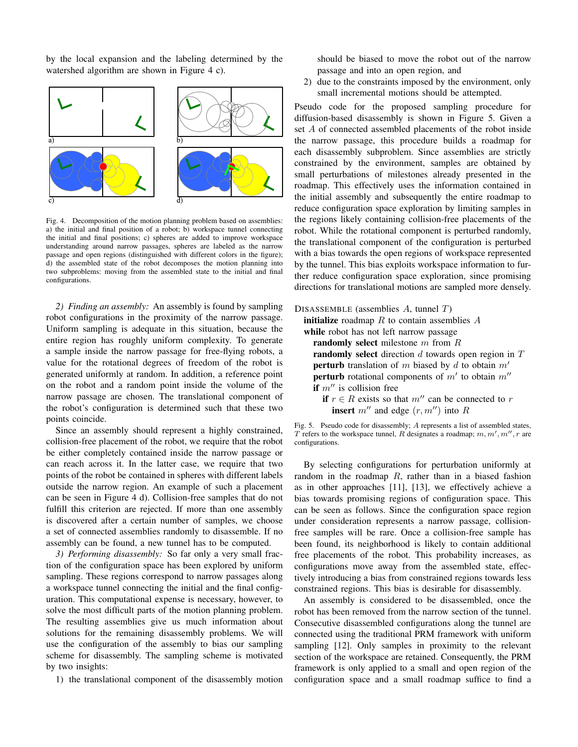by the local expansion and the labeling determined by the watershed algorithm are shown in Figure 4 c).



Fig. 4. Decomposition of the motion planning problem based on assemblies: a) the initial and final position of a robot; b) workspace tunnel connecting the initial and final positions; c) spheres are added to improve workspace understanding around narrow passages, spheres are labeled as the narrow passage and open regions (distinguished with different colors in the figure); d) the assembled state of the robot decomposes the motion planning into two subproblems: moving from the assembled state to the initial and final configurations.

*2) Finding an assembly:* An assembly is found by sampling robot configurations in the proximity of the narrow passage. Uniform sampling is adequate in this situation, because the entire region has roughly uniform complexity. To generate a sample inside the narrow passage for free-flying robots, a value for the rotational degrees of freedom of the robot is generated uniformly at random. In addition, a reference point on the robot and a random point inside the volume of the narrow passage are chosen. The translational component of the robot's configuration is determined such that these two points coincide.

Since an assembly should represent a highly constrained, collision-free placement of the robot, we require that the robot be either completely contained inside the narrow passage or can reach across it. In the latter case, we require that two points of the robot be contained in spheres with different labels outside the narrow region. An example of such a placement can be seen in Figure 4 d). Collision-free samples that do not fulfill this criterion are rejected. If more than one assembly is discovered after a certain number of samples, we choose a set of connected assemblies randomly to disassemble. If no assembly can be found, a new tunnel has to be computed.

*3) Performing disassembly:* So far only a very small fraction of the configuration space has been explored by uniform sampling. These regions correspond to narrow passages along a workspace tunnel connecting the initial and the final configuration. This computational expense is necessary, however, to solve the most difficult parts of the motion planning problem. The resulting assemblies give us much information about solutions for the remaining disassembly problems. We will use the configuration of the assembly to bias our sampling scheme for disassembly. The sampling scheme is motivated by two insights:

1) the translational component of the disassembly motion

should be biased to move the robot out of the narrow passage and into an open region, and

2) due to the constraints imposed by the environment, only small incremental motions should be attempted.

Pseudo code for the proposed sampling procedure for diffusion-based disassembly is shown in Figure 5. Given a set A of connected assembled placements of the robot inside the narrow passage, this procedure builds a roadmap for each disassembly subproblem. Since assemblies are strictly constrained by the environment, samples are obtained by small perturbations of milestones already presented in the roadmap. This effectively uses the information contained in the initial assembly and subsequently the entire roadmap to reduce configuration space exploration by limiting samples in the regions likely containing collision-free placements of the robot. While the rotational component is perturbed randomly, the translational component of the configuration is perturbed with a bias towards the open regions of workspace represented by the tunnel. This bias exploits workspace information to further reduce configuration space exploration, since promising directions for translational motions are sampled more densely.



**insert**  $m''$  and edge  $(r, m'')$  into R

Fig. 5. Pseudo code for disassembly; A represents a list of assembled states, T refers to the workspace tunnel, R designates a roadmap;  $m, m', m''$ , r are configurations.

By selecting configurations for perturbation uniformly at random in the roadmap  $R$ , rather than in a biased fashion as in other approaches [11], [13], we effectively achieve a bias towards promising regions of configuration space. This can be seen as follows. Since the configuration space region under consideration represents a narrow passage, collisionfree samples will be rare. Once a collision-free sample has been found, its neighborhood is likely to contain additional free placements of the robot. This probability increases, as configurations move away from the assembled state, effectively introducing a bias from constrained regions towards less constrained regions. This bias is desirable for disassembly.

An assembly is considered to be disassembled, once the robot has been removed from the narrow section of the tunnel. Consecutive disassembled configurations along the tunnel are connected using the traditional PRM framework with uniform sampling [12]. Only samples in proximity to the relevant section of the workspace are retained. Consequently, the PRM framework is only applied to a small and open region of the configuration space and a small roadmap suffice to find a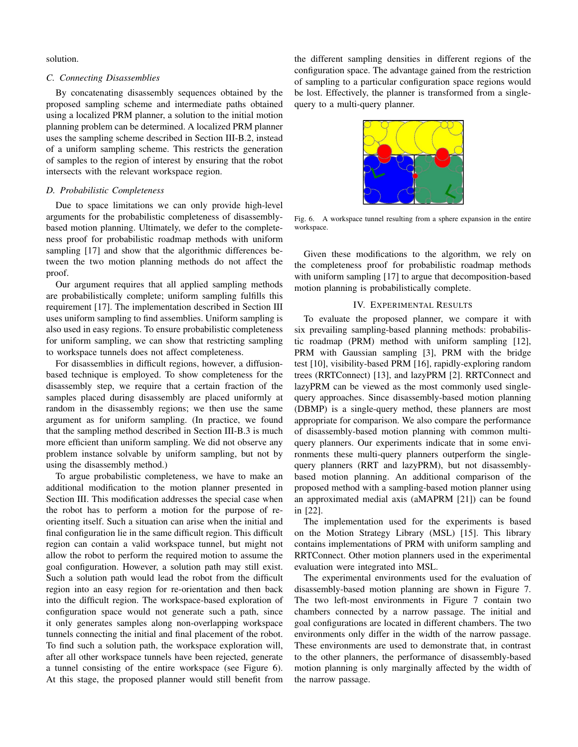solution.

## *C. Connecting Disassemblies*

By concatenating disassembly sequences obtained by the proposed sampling scheme and intermediate paths obtained using a localized PRM planner, a solution to the initial motion planning problem can be determined. A localized PRM planner uses the sampling scheme described in Section III-B.2, instead of a uniform sampling scheme. This restricts the generation of samples to the region of interest by ensuring that the robot intersects with the relevant workspace region.

## *D. Probabilistic Completeness*

Due to space limitations we can only provide high-level arguments for the probabilistic completeness of disassemblybased motion planning. Ultimately, we defer to the completeness proof for probabilistic roadmap methods with uniform sampling [17] and show that the algorithmic differences between the two motion planning methods do not affect the proof.

Our argument requires that all applied sampling methods are probabilistically complete; uniform sampling fulfills this requirement [17]. The implementation described in Section III uses uniform sampling to find assemblies. Uniform sampling is also used in easy regions. To ensure probabilistic completeness for uniform sampling, we can show that restricting sampling to workspace tunnels does not affect completeness.

For disassemblies in difficult regions, however, a diffusionbased technique is employed. To show completeness for the disassembly step, we require that a certain fraction of the samples placed during disassembly are placed uniformly at random in the disassembly regions; we then use the same argument as for uniform sampling. (In practice, we found that the sampling method described in Section III-B.3 is much more efficient than uniform sampling. We did not observe any problem instance solvable by uniform sampling, but not by using the disassembly method.)

To argue probabilistic completeness, we have to make an additional modification to the motion planner presented in Section III. This modification addresses the special case when the robot has to perform a motion for the purpose of reorienting itself. Such a situation can arise when the initial and final configuration lie in the same difficult region. This difficult region can contain a valid workspace tunnel, but might not allow the robot to perform the required motion to assume the goal configuration. However, a solution path may still exist. Such a solution path would lead the robot from the difficult region into an easy region for re-orientation and then back into the difficult region. The workspace-based exploration of configuration space would not generate such a path, since it only generates samples along non-overlapping workspace tunnels connecting the initial and final placement of the robot. To find such a solution path, the workspace exploration will, after all other workspace tunnels have been rejected, generate a tunnel consisting of the entire workspace (see Figure 6). At this stage, the proposed planner would still benefit from the different sampling densities in different regions of the configuration space. The advantage gained from the restriction of sampling to a particular configuration space regions would be lost. Effectively, the planner is transformed from a singlequery to a multi-query planner.



Fig. 6. A workspace tunnel resulting from a sphere expansion in the entire workspace.

Given these modifications to the algorithm, we rely on the completeness proof for probabilistic roadmap methods with uniform sampling [17] to argue that decomposition-based motion planning is probabilistically complete.

## IV. EXPERIMENTAL RESULTS

To evaluate the proposed planner, we compare it with six prevailing sampling-based planning methods: probabilistic roadmap (PRM) method with uniform sampling [12], PRM with Gaussian sampling [3], PRM with the bridge test [10], visibility-based PRM [16], rapidly-exploring random trees (RRTConnect) [13], and lazyPRM [2]. RRTConnect and lazyPRM can be viewed as the most commonly used singlequery approaches. Since disassembly-based motion planning (DBMP) is a single-query method, these planners are most appropriate for comparison. We also compare the performance of disassembly-based motion planning with common multiquery planners. Our experiments indicate that in some environments these multi-query planners outperform the singlequery planners (RRT and lazyPRM), but not disassemblybased motion planning. An additional comparison of the proposed method with a sampling-based motion planner using an approximated medial axis (aMAPRM [21]) can be found in [22].

The implementation used for the experiments is based on the Motion Strategy Library (MSL) [15]. This library contains implementations of PRM with uniform sampling and RRTConnect. Other motion planners used in the experimental evaluation were integrated into MSL.

The experimental environments used for the evaluation of disassembly-based motion planning are shown in Figure 7. The two left-most environments in Figure 7 contain two chambers connected by a narrow passage. The initial and goal configurations are located in different chambers. The two environments only differ in the width of the narrow passage. These environments are used to demonstrate that, in contrast to the other planners, the performance of disassembly-based motion planning is only marginally affected by the width of the narrow passage.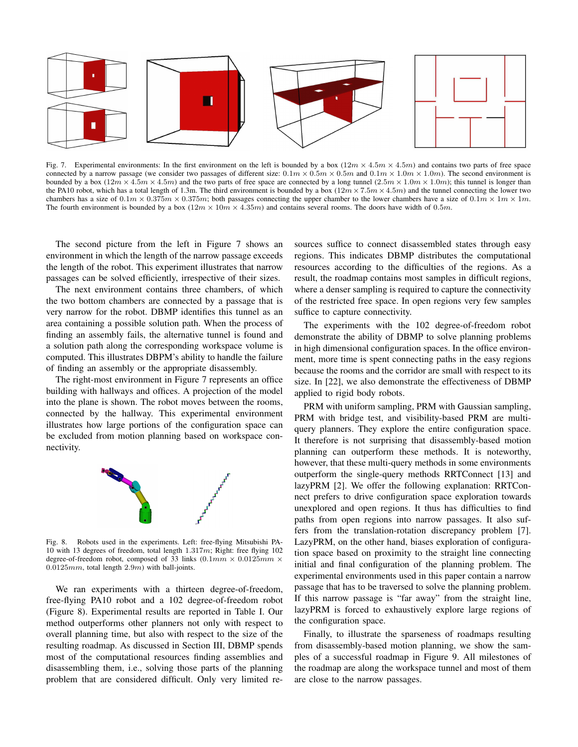

Fig. 7. Experimental environments: In the first environment on the left is bounded by a box  $(12m \times 4.5m \times 4.5m)$  and contains two parts of free space connected by a narrow passage (we consider two passages of different size:  $0.1m \times 0.5m \times 0.5m$  and  $0.1m \times 1.0m \times 1.0m$ ). The second environment is bounded by a box  $(12m \times 4.5m \times 4.5m)$  and the two parts of free space are connected by a long tunnel  $(2.5m \times 1.0m \times 1.0m)$ ; this tunnel is longer than the PA10 robot, which has a total length of 1.3m. The third environment is bounded by a box  $(12m \times 7.5m \times 4.5m)$  and the tunnel connecting the lower two chambers has a size of  $0.1m \times 0.375m \times 0.375m$ ; both passages connecting the upper chamber to the lower chambers have a size of  $0.1m \times 1m \times 1m$ . The fourth environment is bounded by a box  $(12m \times 10m \times 4.35m)$  and contains several rooms. The doors have width of 0.5m.

The second picture from the left in Figure 7 shows an environment in which the length of the narrow passage exceeds the length of the robot. This experiment illustrates that narrow passages can be solved efficiently, irrespective of their sizes.

The next environment contains three chambers, of which the two bottom chambers are connected by a passage that is very narrow for the robot. DBMP identifies this tunnel as an area containing a possible solution path. When the process of finding an assembly fails, the alternative tunnel is found and a solution path along the corresponding workspace volume is computed. This illustrates DBPM's ability to handle the failure of finding an assembly or the appropriate disassembly.

The right-most environment in Figure 7 represents an office building with hallways and offices. A projection of the model into the plane is shown. The robot moves between the rooms, connected by the hallway. This experimental environment illustrates how large portions of the configuration space can be excluded from motion planning based on workspace connectivity.



Fig. 8. Robots used in the experiments. Left: free-flying Mitsubishi PA-10 with 13 degrees of freedom, total length  $1.317m$ ; Right: free flying 102 degree-of-freedom robot, composed of  $33$  links  $(0.1mm \times 0.0125mm \times$  $0.0125mm$ , total length  $2.9m$ ) with ball-joints.

We ran experiments with a thirteen degree-of-freedom, free-flying PA10 robot and a 102 degree-of-freedom robot (Figure 8). Experimental results are reported in Table I. Our method outperforms other planners not only with respect to overall planning time, but also with respect to the size of the resulting roadmap. As discussed in Section III, DBMP spends most of the computational resources finding assemblies and disassembling them, i.e., solving those parts of the planning problem that are considered difficult. Only very limited resources suffice to connect disassembled states through easy regions. This indicates DBMP distributes the computational resources according to the difficulties of the regions. As a result, the roadmap contains most samples in difficult regions, where a denser sampling is required to capture the connectivity of the restricted free space. In open regions very few samples suffice to capture connectivity.

The experiments with the 102 degree-of-freedom robot demonstrate the ability of DBMP to solve planning problems in high dimensional configuration spaces. In the office environment, more time is spent connecting paths in the easy regions because the rooms and the corridor are small with respect to its size. In [22], we also demonstrate the effectiveness of DBMP applied to rigid body robots.

PRM with uniform sampling, PRM with Gaussian sampling, PRM with bridge test, and visibility-based PRM are multiquery planners. They explore the entire configuration space. It therefore is not surprising that disassembly-based motion planning can outperform these methods. It is noteworthy, however, that these multi-query methods in some environments outperform the single-query methods RRTConnect [13] and lazyPRM [2]. We offer the following explanation: RRTConnect prefers to drive configuration space exploration towards unexplored and open regions. It thus has difficulties to find paths from open regions into narrow passages. It also suffers from the translation-rotation discrepancy problem [7]. LazyPRM, on the other hand, biases exploration of configuration space based on proximity to the straight line connecting initial and final configuration of the planning problem. The experimental environments used in this paper contain a narrow passage that has to be traversed to solve the planning problem. If this narrow passage is "far away" from the straight line, lazyPRM is forced to exhaustively explore large regions of the configuration space.

Finally, to illustrate the sparseness of roadmaps resulting from disassembly-based motion planning, we show the samples of a successful roadmap in Figure 9. All milestones of the roadmap are along the workspace tunnel and most of them are close to the narrow passages.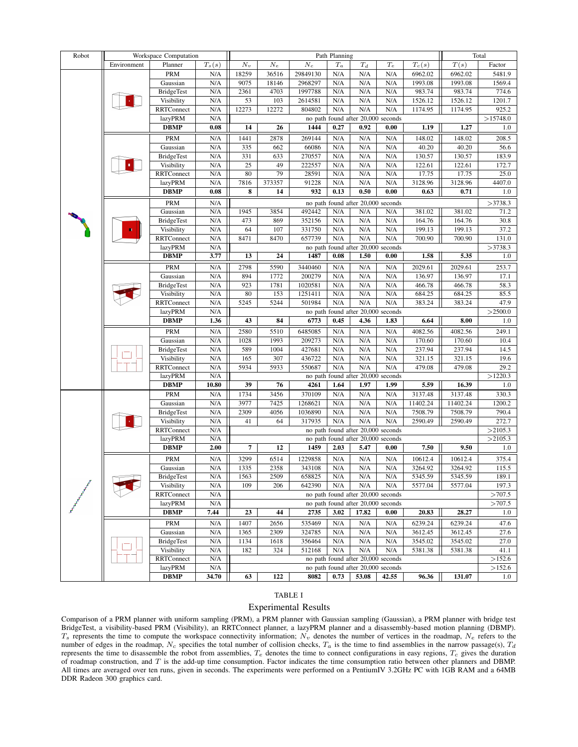| Robot | Workspace Computation |                        |             | Path Planning                                                            |              |          |         |                                    |                 |          | Total             |                  |
|-------|-----------------------|------------------------|-------------|--------------------------------------------------------------------------|--------------|----------|---------|------------------------------------|-----------------|----------|-------------------|------------------|
|       | Environment           | Planner                | $T_s(s)$    | $N_v$                                                                    | $N_e$        | $N_c$    | $T_{a}$ | $T_d$                              | $\mathcal{T}_e$ | $T_c(s)$ | $\overline{T}(s)$ | Factor           |
|       |                       | <b>PRM</b>             | N/A         | 18259                                                                    | 36516        | 29849130 | N/A     | N/A                                | N/A             | 6962.02  | 6962.02           | 5481.9           |
|       |                       | Gaussian               | N/A         | 9075                                                                     | 18146        | 2968297  | N/A     | N/A                                | N/A             | 1993.08  | 1993.08           | 1569.4           |
|       |                       | <b>BridgeTest</b>      | N/A         | 2361                                                                     | 4703         | 1997788  | N/A     | N/A                                | N/A             | 983.74   | 983.74            | 774.6            |
|       |                       | Visibility             | N/A         | 53                                                                       | 103          | 2614581  | N/A     | N/A                                | N/A             | 1526.12  | 1526.12           | 1201.7           |
|       |                       | RRTConnect             | N/A         | 12273                                                                    | 12272        | 804802   | N/A     | N/A                                | N/A             | 1174.95  | 1174.95           | 925.2            |
|       |                       | lazyPRM                | N/A         |                                                                          |              |          |         | no path found after 20,000 seconds |                 |          |                   | >15748.0         |
|       |                       | <b>DBMP</b>            | 0.08        | 14                                                                       | 26           | 1444     | 0.27    | 0.92                               | 0.00            | 1.19     | 1.27              | 1.0              |
|       |                       | <b>PRM</b>             | N/A         | 1441                                                                     | 2878         | 269144   | N/A     | N/A                                | N/A             | 148.02   | 148.02            | 208.5            |
|       |                       | Gaussian               | N/A         | 335                                                                      | 662          | 66086    | N/A     | N/A                                | N/A             | 40.20    | 40.20             | 56.6             |
|       |                       | <b>BridgeTest</b>      | N/A         | 331                                                                      | 633          | 270557   | N/A     | N/A                                | N/A             | 130.57   | 130.57            | 183.9            |
|       |                       | Visibility             | N/A         | 25                                                                       | 49           | 222557   | N/A     | N/A                                | N/A             | 122.61   | 122.61            | 172.7            |
|       |                       | RRTConnect             | N/A         | 80                                                                       | 79           | 28591    | N/A     | N/A                                | N/A             | 17.75    | 17.75             | 25.0             |
|       |                       | lazyPRM                | N/A         | 7816                                                                     | 373357       | 91228    | N/A     | N/A                                | N/A             | 3128.96  | 3128.96           | 4407.0           |
|       |                       | <b>DBMP</b>            | 0.08        | 8                                                                        | 14           | 932      | 0.13    | 0.50                               | 0.00            | 0.63     | 0.71              | 1.0              |
|       |                       | <b>PRM</b>             | N/A         |                                                                          |              |          |         | no path found after 20,000 seconds |                 |          |                   | >3738.3          |
|       |                       | Gaussian               | N/A         | 1945                                                                     | 3854         | 492442   | N/A     | N/A                                | N/A             | 381.02   | 381.02            | 71.2             |
|       |                       | <b>BridgeTest</b>      | N/A         | 473                                                                      | 869          | 352156   | N/A     | N/A                                | N/A             | 164.76   | 164.76            | 30.8             |
|       |                       | Visibility             | N/A         | 64                                                                       | 107          | 331750   | N/A     | N/A                                | N/A             | 199.13   | 199.13            | 37.2             |
|       |                       | RRTConnect             | N/A         | 8471                                                                     | 8470         | 657739   | N/A     | N/A                                | N/A             | 700.90   | 700.90            | 131.0            |
|       |                       | lazyPRM                | N/A         |                                                                          |              |          |         | no path found after 20,000 seconds |                 |          |                   | >3738.3          |
|       |                       | <b>DBMP</b>            | 3.77        | 13                                                                       | 24           | 1487     | 0.08    | 1.50                               | 0.00            | 1.58     | 5.35              | 1.0              |
|       |                       |                        |             |                                                                          |              |          |         |                                    |                 |          |                   |                  |
|       |                       | <b>PRM</b><br>Gaussian | N/A         | 2798                                                                     | 5590<br>1772 | 3440460  | N/A     | N/A                                | N/A             | 2029.61  | 2029.61           | 253.7            |
|       |                       |                        | N/A         | 894                                                                      |              | 200279   | N/A     | N/A<br>N/A                         | N/A             | 136.97   | 136.97            | 17.1             |
|       |                       | <b>BridgeTest</b>      | N/A         | 923                                                                      | 1781         | 1020581  | N/A     |                                    | N/A             | 466.78   | 466.78            | 58.3             |
|       |                       | Visibility             | N/A         | 80                                                                       | 153          | 1251411  | N/A     | N/A<br>N/A                         | N/A             | 684.25   | 684.25            | 85.5<br>47.9     |
|       |                       | RRTConnect<br>lazyPRM  | N/A<br>N/A  | 5245                                                                     | 5244         | 501984   | N/A     | no path found after 20,000 seconds | N/A             | 383.24   | 383.24            | >2500.0          |
|       |                       | <b>DBMP</b>            | 1.36        | 43                                                                       | 84           | 6773     | 0.45    | 4.36                               | 1.83            | 6.64     | 8.00              | 1.0              |
|       |                       |                        |             |                                                                          |              |          |         |                                    |                 |          |                   |                  |
|       |                       | <b>PRM</b>             | N/A         | 2580                                                                     | 5510         | 6485085  | N/A     | N/A                                | N/A             | 4082.56  | 4082.56           | 249.1            |
|       |                       | Gaussian               | N/A         | 1028                                                                     | 1993         | 209273   | N/A     | N/A                                | N/A             | 170.60   | 170.60            | 10.4             |
|       |                       | <b>BridgeTest</b>      | N/A         | 589                                                                      | 1004         | 427681   | N/A     | N/A                                | N/A             | 237.94   | 237.94            | 14.5             |
|       |                       | Visibility             | N/A         | 165                                                                      | 307          | 436722   | N/A     | N/A                                | N/A             | 321.15   | 321.15            | 19.6             |
|       |                       | RRTConnect             | N/A         | 5934                                                                     | 5933         | 550687   | N/A     | N/A                                | N/A             | 479.08   | 479.08            | 29.2             |
|       |                       | lazyPRM                | N/A         | no path found after 20,000 seconds                                       |              |          |         |                                    |                 |          |                   | >1220.3          |
|       |                       | <b>DBMP</b>            | 10.80       | 39                                                                       | 76           | 4261     | 1.64    | 1.97                               | 1.99            | 5.59     | 16.39             | 1.0              |
|       |                       | <b>PRM</b>             | N/A         | 1734                                                                     | 3456         | 370109   | N/A     | N/A                                | N/A             | 3137.48  | 3137.48           | 330.3            |
|       |                       | Gaussian               | N/A         | 3977                                                                     | 7425         | 1268621  | N/A     | N/A                                | N/A             | 11402.24 | 11402.24          | 1200.2           |
|       |                       | <b>BridgeTest</b>      | N/A         | 2309                                                                     | 4056         | 1036890  | N/A     | N/A                                | N/A             | 7508.79  | 7508.79           | 790.4            |
|       |                       | Visibility             | N/A         | 41                                                                       | 64           | 317935   | N/A     | N/A                                | N/A             | 2590.49  | 2590.49           | 272.7<br>>2105.3 |
|       |                       | RRTConnect             | N/A         | no path found after 20,000 seconds<br>no path found after 20,000 seconds |              |          |         |                                    |                 |          |                   |                  |
|       |                       | lazyPRM<br><b>DBMP</b> | N/A<br>2.00 | 7<br>1459<br>7.50<br>9.50<br>12<br>2.03<br>5.47<br>0.00                  |              |          |         |                                    |                 |          |                   | >2105.3          |
|       |                       |                        |             |                                                                          |              |          |         |                                    |                 |          |                   | 1.0              |
|       |                       | <b>PRM</b>             | N/A         | 3299                                                                     | 6514         | 1229858  | N/A     | N/A                                | N/A             | 10612.4  | 10612.4           | 375.4            |
|       |                       | Gaussian               | N/A         | 1335                                                                     | 2358         | 343108   | N/A     | N/A                                | N/A             | 3264.92  | 3264.92           | 115.5            |
|       |                       | <b>BridgeTest</b>      | N/A         | 1563                                                                     | 2509         | 658825   | N/A     | N/A                                | N/A             | 5345.59  | 5345.59           | 189.1            |
|       |                       | Visibility             | N/A         | 109                                                                      | 206          | 642390   | N/A     | N/A                                | N/A             | 5577.04  | 5577.04           | 197.3            |
|       |                       | <b>RRTConnect</b>      | N/A         |                                                                          |              |          |         | no path found after 20,000 seconds |                 |          |                   | >707.5           |
|       |                       | <b>lazyPRM</b>         | N/A         |                                                                          |              |          |         | no path found after 20,000 seconds |                 |          |                   | >707.5           |
|       |                       | <b>DBMP</b>            | 7.44        | 23                                                                       | 44           | 2735     | 3.02    | 17.82                              | 0.00            | 20.83    | 28.27             | 1.0              |
|       |                       | PRM                    | N/A         | 1407                                                                     | 2656         | 535469   | N/A     | N/A                                | N/A             | 6239.24  | 6239.24           | 47.6             |
|       |                       | Gaussian               | N/A         | 1365                                                                     | 2309         | 324785   | N/A     | N/A                                | N/A             | 3612.45  | 3612.45           | 27.6             |
|       |                       | <b>BridgeTest</b>      | N/A         | 1134                                                                     | 1618         | 356464   | N/A     | N/A                                | N/A             | 3545.02  | 3545.02           | 27.0             |
|       |                       | Visibility             | N/A         | 182                                                                      | 324          | 512168   | N/A     | N/A                                | N/A             | 5381.38  | 5381.38           | 41.1             |
|       |                       | RRTConnect             | N/A         |                                                                          |              |          |         | no path found after 20,000 seconds |                 |          |                   | >152.6           |
|       |                       | lazyPRM                | N/A         |                                                                          |              |          |         | no path found after 20,000 seconds |                 |          |                   | >152.6           |
|       |                       | <b>DBMP</b>            | 34.70       | 63                                                                       | 122          | 8082     | 0.73    | 53.08                              | 42.55           | 96.36    | 131.07            | 1.0              |

#### TABLE I

#### Experimental Results

Comparison of a PRM planner with uniform sampling (PRM), a PRM planner with Gaussian sampling (Gaussian), a PRM planner with bridge test BridgeTest, a visibility-based PRM (Visibility), an RRTConnect planner, a lazyPRM planner and a disassembly-based motion planning (DBMP).  $T_s$  represents the time to compute the workspace connectivity information;  $N_v$  denotes the number of vertices in the roadmap,  $N_e$  refers to the number of edges in the roadmap,  $N_c$  specifies the total number of collision checks,  $T_a$  is the time to find assemblies in the narrow passage(s),  $T_d$ represents the time to disassemble the robot from assemblies,  $T_e$  denotes the time to connect configurations in easy regions,  $T_c$  gives the duration of roadmap construction, and T is the add-up time consumption. Factor indicates the time consumption ratio between other planners and DBMP. All times are averaged over ten runs, given in seconds. The experiments were performed on a PentiumIV 3.2GHz PC with 1GB RAM and a 64MB DDR Radeon 300 graphics card.